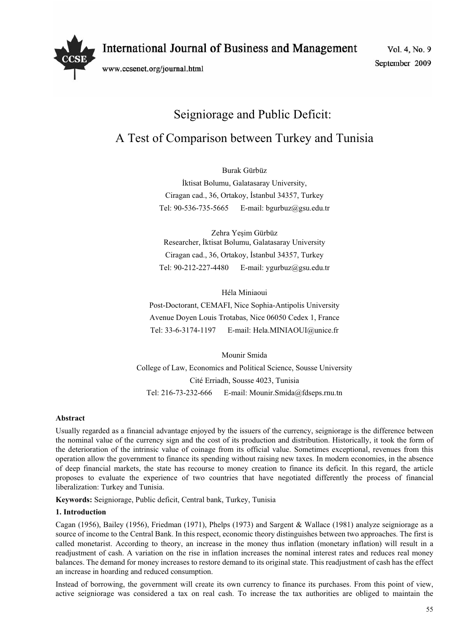

www.ccsenet.org/journal.html

Vol. 4, No. 9 September 2009

# Seigniorage and Public Deficit: A Test of Comparison between Turkey and Tunisia

# Burak Gürbüz

İktisat Bolumu, Galatasaray University, Ciragan cad., 36, Ortakoy, İstanbul 34357, Turkey Tel: 90-536-735-5665 E-mail: bgurbuz@gsu.edu.tr

Zehra Yeşim Gürbüz Researcher, İktisat Bolumu, Galatasaray University Ciragan cad., 36, Ortakoy, İstanbul 34357, Turkey Tel: 90-212-227-4480 E-mail: ygurbuz@gsu.edu.tr

Héla Miniaoui Post-Doctorant, CEMAFI, Nice Sophia-Antipolis University Avenue Doyen Louis Trotabas, Nice 06050 Cedex 1, France Tel: 33-6-3174-1197 E-mail: Hela.MINIAOUI@unice.fr

Mounir Smida College of Law, Economics and Political Science, Sousse University Cité Erriadh, Sousse 4023, Tunisia Tel: 216-73-232-666 E-mail: Mounir.Smida@fdseps.rnu.tn

## **Abstract**

Usually regarded as a financial advantage enjoyed by the issuers of the currency, seigniorage is the difference between the nominal value of the currency sign and the cost of its production and distribution. Historically, it took the form of the deterioration of the intrinsic value of coinage from its official value. Sometimes exceptional, revenues from this operation allow the government to finance its spending without raising new taxes. In modern economies, in the absence of deep financial markets, the state has recourse to money creation to finance its deficit. In this regard, the article proposes to evaluate the experience of two countries that have negotiated differently the process of financial liberalization: Turkey and Tunisia.

**Keywords:** Seigniorage, Public deficit, Central bank, Turkey, Tunisia

## **1. Introduction**

Cagan (1956), Bailey (1956), Friedman (1971), Phelps (1973) and Sargent & Wallace (1981) analyze seigniorage as a source of income to the Central Bank. In this respect, economic theory distinguishes between two approaches. The first is called monetarist. According to theory, an increase in the money thus inflation (monetary inflation) will result in a readjustment of cash. A variation on the rise in inflation increases the nominal interest rates and reduces real money balances. The demand for money increases to restore demand to its original state. This readjustment of cash has the effect an increase in hoarding and reduced consumption.

Instead of borrowing, the government will create its own currency to finance its purchases. From this point of view, active seigniorage was considered a tax on real cash. To increase the tax authorities are obliged to maintain the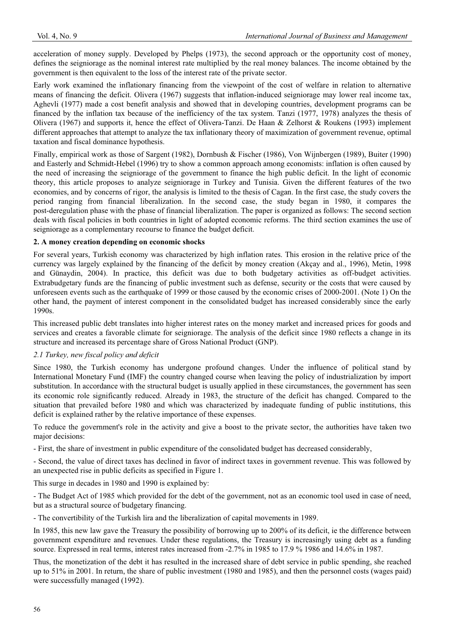acceleration of money supply. Developed by Phelps (1973), the second approach or the opportunity cost of money, defines the seigniorage as the nominal interest rate multiplied by the real money balances. The income obtained by the government is then equivalent to the loss of the interest rate of the private sector.

Early work examined the inflationary financing from the viewpoint of the cost of welfare in relation to alternative means of financing the deficit. Olivera (1967) suggests that inflation-induced seigniorage may lower real income tax, Aghevli (1977) made a cost benefit analysis and showed that in developing countries, development programs can be financed by the inflation tax because of the inefficiency of the tax system. Tanzi (1977, 1978) analyzes the thesis of Olivera (1967) and supports it, hence the effect of Olivera-Tanzi. De Haan & Zelhorst & Roukens (1993) implement different approaches that attempt to analyze the tax inflationary theory of maximization of government revenue, optimal taxation and fiscal dominance hypothesis.

Finally, empirical work as those of Sargent (1982), Dornbush & Fischer (1986), Von Wijnbergen (1989), Buiter (1990) and Easterly and Schmidt-Hebel (1996) try to show a common approach among economists: inflation is often caused by the need of increasing the seigniorage of the government to finance the high public deficit. In the light of economic theory, this article proposes to analyze seigniorage in Turkey and Tunisia. Given the different features of the two economies, and by concerns of rigor, the analysis is limited to the thesis of Cagan. In the first case, the study covers the period ranging from financial liberalization. In the second case, the study began in 1980, it compares the post-deregulation phase with the phase of financial liberalization. The paper is organized as follows: The second section deals with fiscal policies in both countries in light of adopted economic reforms. The third section examines the use of seigniorage as a complementary recourse to finance the budget deficit.

## **2. A money creation depending on economic shocks**

For several years, Turkish economy was characterized by high inflation rates. This erosion in the relative price of the currency was largely explained by the financing of the deficit by money creation (Akçay and al., 1996), Metin, 1998 and Günaydin, 2004). In practice, this deficit was due to both budgetary activities as off-budget activities. Extrabudgetary funds are the financing of public investment such as defense, security or the costs that were caused by unforeseen events such as the earthquake of 1999 or those caused by the economic crises of 2000-2001. (Note 1) On the other hand, the payment of interest component in the consolidated budget has increased considerably since the early 1990s.

This increased public debt translates into higher interest rates on the money market and increased prices for goods and services and creates a favorable climate for seigniorage. The analysis of the deficit since 1980 reflects a change in its structure and increased its percentage share of Gross National Product (GNP).

## *2.1 Turkey, new fiscal policy and deficit*

Since 1980, the Turkish economy has undergone profound changes. Under the influence of political stand by International Monetary Fund (IMF) the country changed course when leaving the policy of industrialization by import substitution. In accordance with the structural budget is usually applied in these circumstances, the government has seen its economic role significantly reduced. Already in 1983, the structure of the deficit has changed. Compared to the situation that prevailed before 1980 and which was characterized by inadequate funding of public institutions, this deficit is explained rather by the relative importance of these expenses.

To reduce the government's role in the activity and give a boost to the private sector, the authorities have taken two major decisions:

- First, the share of investment in public expenditure of the consolidated budget has decreased considerably,

- Second, the value of direct taxes has declined in favor of indirect taxes in government revenue. This was followed by an unexpected rise in public deficits as specified in Figure 1.

This surge in decades in 1980 and 1990 is explained by:

- The Budget Act of 1985 which provided for the debt of the government, not as an economic tool used in case of need, but as a structural source of budgetary financing.

- The convertibility of the Turkish lira and the liberalization of capital movements in 1989.

In 1985, this new law gave the Treasury the possibility of borrowing up to 200% of its deficit, ie the difference between government expenditure and revenues. Under these regulations, the Treasury is increasingly using debt as a funding source. Expressed in real terms, interest rates increased from -2.7% in 1985 to 17.9 % 1986 and 14.6% in 1987.

Thus, the monetization of the debt it has resulted in the increased share of debt service in public spending, she reached up to 51% in 2001. In return, the share of public investment (1980 and 1985), and then the personnel costs (wages paid) were successfully managed (1992).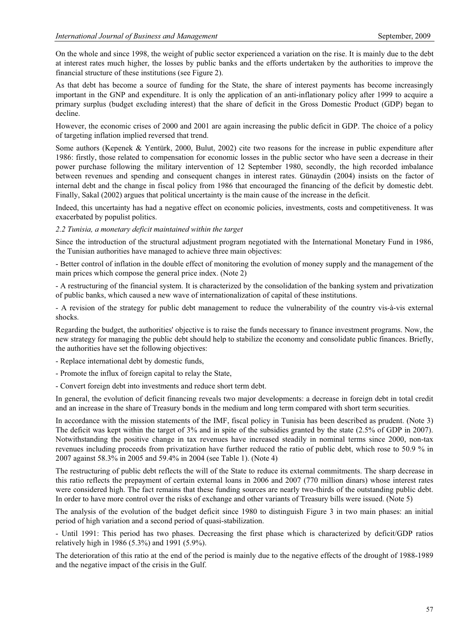On the whole and since 1998, the weight of public sector experienced a variation on the rise. It is mainly due to the debt at interest rates much higher, the losses by public banks and the efforts undertaken by the authorities to improve the financial structure of these institutions (see Figure 2).

As that debt has become a source of funding for the State, the share of interest payments has become increasingly important in the GNP and expenditure. It is only the application of an anti-inflationary policy after 1999 to acquire a primary surplus (budget excluding interest) that the share of deficit in the Gross Domestic Product (GDP) began to decline.

However, the economic crises of 2000 and 2001 are again increasing the public deficit in GDP. The choice of a policy of targeting inflation implied reversed that trend.

Some authors (Kepenek & Yentürk, 2000, Bulut, 2002) cite two reasons for the increase in public expenditure after 1986: firstly, those related to compensation for economic losses in the public sector who have seen a decrease in their power purchase following the military intervention of 12 September 1980, secondly, the high recorded imbalance between revenues and spending and consequent changes in interest rates. Günaydin (2004) insists on the factor of internal debt and the change in fiscal policy from 1986 that encouraged the financing of the deficit by domestic debt. Finally, Sakal (2002) argues that political uncertainty is the main cause of the increase in the deficit.

Indeed, this uncertainty has had a negative effect on economic policies, investments, costs and competitiveness. It was exacerbated by populist politics.

## *2.2 Tunisia, a monetary deficit maintained within the target*

Since the introduction of the structural adjustment program negotiated with the International Monetary Fund in 1986, the Tunisian authorities have managed to achieve three main objectives:

- Better control of inflation in the double effect of monitoring the evolution of money supply and the management of the main prices which compose the general price index. (Note 2)

- A restructuring of the financial system. It is characterized by the consolidation of the banking system and privatization of public banks, which caused a new wave of internationalization of capital of these institutions.

- A revision of the strategy for public debt management to reduce the vulnerability of the country vis-à-vis external shocks.

Regarding the budget, the authorities' objective is to raise the funds necessary to finance investment programs. Now, the new strategy for managing the public debt should help to stabilize the economy and consolidate public finances. Briefly, the authorities have set the following objectives:

- Replace international debt by domestic funds,

- Promote the influx of foreign capital to relay the State,

- Convert foreign debt into investments and reduce short term debt.

In general, the evolution of deficit financing reveals two major developments: a decrease in foreign debt in total credit and an increase in the share of Treasury bonds in the medium and long term compared with short term securities.

In accordance with the mission statements of the IMF, fiscal policy in Tunisia has been described as prudent. (Note 3) The deficit was kept within the target of 3% and in spite of the subsidies granted by the state (2.5% of GDP in 2007). Notwithstanding the positive change in tax revenues have increased steadily in nominal terms since 2000, non-tax revenues including proceeds from privatization have further reduced the ratio of public debt, which rose to 50.9 % in 2007 against 58.3% in 2005 and 59.4% in 2004 (see Table 1). (Note 4)

The restructuring of public debt reflects the will of the State to reduce its external commitments. The sharp decrease in this ratio reflects the prepayment of certain external loans in 2006 and 2007 (770 million dinars) whose interest rates were considered high. The fact remains that these funding sources are nearly two-thirds of the outstanding public debt. In order to have more control over the risks of exchange and other variants of Treasury bills were issued. (Note 5)

The analysis of the evolution of the budget deficit since 1980 to distinguish Figure 3 in two main phases: an initial period of high variation and a second period of quasi-stabilization.

- Until 1991: This period has two phases. Decreasing the first phase which is characterized by deficit/GDP ratios relatively high in 1986 (5.3%) and 1991 (5.9%).

The deterioration of this ratio at the end of the period is mainly due to the negative effects of the drought of 1988-1989 and the negative impact of the crisis in the Gulf.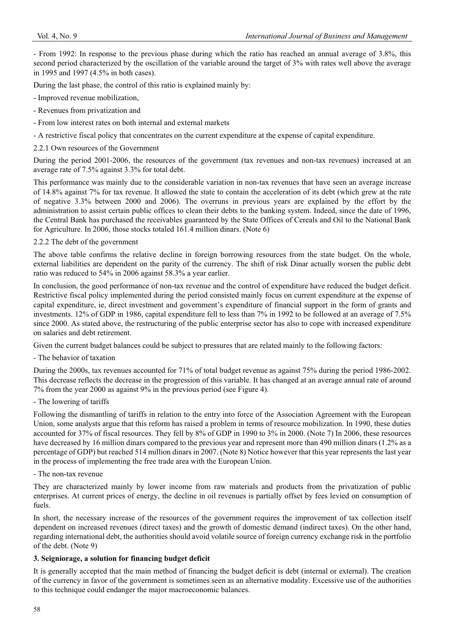- From 1992: In response to the previous phase during which the ratio has reached an annual average of 3.8%, this second period characterized by the oscillation of the variable around the target of 3% with rates well above the average in 1995 and 1997 (4.5% in both cases).

During the last phase, the control of this ratio is explained mainly by:

- Improved revenue mobilization,

- Revenues from privatization and
- From low interest rates on both internal and external markets
- A restrictive fiscal policy that concentrates on the current expenditure at the expense of capital expenditure.
- 2.2.1 Own resources of the Government

During the period 2001-2006, the resources of the government (tax revenues and non-tax revenues) increased at an average rate of 7.5% against 3.3% for total debt.

This performance was mainly due to the considerable variation in non-tax revenues that have seen an average increase of 14.8% against 7% for tax revenue. It allowed the state to contain the acceleration of its debt (which grew at the rate of negative 3.3% between 2000 and 2006). The overruns in previous years are explained by the effort by the administration to assist certain public offices to clean their debts to the banking system. Indeed, since the date of 1996, the Central Bank has purchased the receivables guaranteed by the State Offices of Cereals and Oil to the National Bank for Agriculture. In 2006, those stocks totaled 161.4 million dinars. (Note 6)

## 2.2.2 The debt of the government

The above table confirms the relative decline in foreign borrowing resources from the state budget. On the whole, external liabilities are dependent on the parity of the currency. The shift of risk Dinar actually worsen the public debt ratio was reduced to 54% in 2006 against 58.3% a year earlier.

In conclusion, the good performance of non-tax revenue and the control of expenditure have reduced the budget deficit. Restrictive fiscal policy implemented during the period consisted mainly focus on current expenditure at the expense of capital expenditure, ie, direct investment and government's expenditure of financial support in the form of grants and investments. 12% of GDP in 1986, capital expenditure fell to less than 7% in 1992 to be followed at an average of 7.5% since 2000. As stated above, the restructuring of the public enterprise sector has also to cope with increased expenditure on salaries and debt retirement.

Given the current budget balances could be subject to pressures that are related mainly to the following factors:

- The behavior of taxation

During the 2000s, tax revenues accounted for 71% of total budget revenue as against 75% during the period 1986-2002. This decrease reflects the decrease in the progression of this variable. It has changed at an average annual rate of around 7% from the year 2000 as against 9% in the previous period (see Figure 4).

## - The lowering of tariffs

Following the dismantling of tariffs in relation to the entry into force of the Association Agreement with the European Union, some analysts argue that this reform has raised a problem in terms of resource mobilization. In 1990, these duties accounted for 37% of fiscal resources. They fell by 8% of GDP in 1990 to 3% in 2000. (Note 7) In 2006, these resources have decreased by 16 million dinars compared to the previous year and represent more than 490 million dinars (1.2% as a percentage of GDP) but reached 514 million dinars in 2007. (Note 8) Notice however that this year represents the last year in the process of implementing the free trade area with the European Union.

- The non-tax revenue

They are characterized mainly by lower income from raw materials and products from the privatization of public enterprises. At current prices of energy, the decline in oil revenues is partially offset by fees levied on consumption of fuels.

In short, the necessary increase of the resources of the government requires the improvement of tax collection itself dependent on increased revenues (direct taxes) and the growth of domestic demand (indirect taxes). On the other hand, regarding international debt, the authorities should avoid volatile source of foreign currency exchange risk in the portfolio of the debt. (Note 9)

## **3. Seigniorage, a solution for financing budget deficit**

It is generally accepted that the main method of financing the budget deficit is debt (internal or external). The creation of the currency in favor of the government is sometimes seen as an alternative modality. Excessive use of the authorities to this technique could endanger the major macroeconomic balances.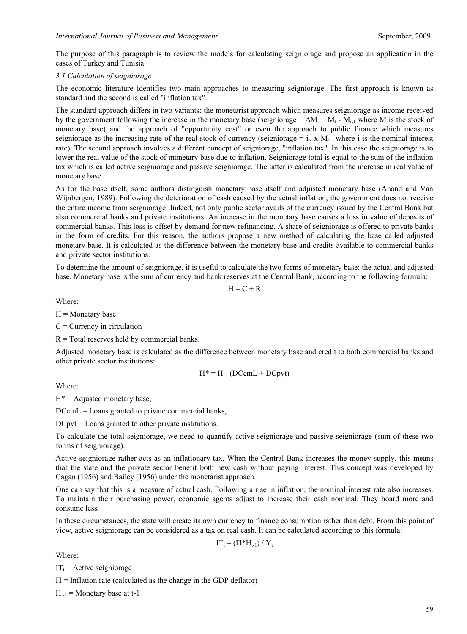The purpose of this paragraph is to review the models for calculating seigniorage and propose an application in the cases of Turkey and Tunisia.

#### *3.1 Calculation of seigniorage*

The economic literature identifies two main approaches to measuring seigniorage. The first approach is known as standard and the second is called "inflation tax".

The standard approach differs in two variants: the monetarist approach which measures seigniorage as income received by the government following the increase in the monetary base (seigniorage =  $\Delta M_t = M_t - M_{t-1}$  where M is the stock of monetary base) and the approach of "opportunity cost" or even the approach to public finance which measures seigniorage as the increasing rate of the real stock of currency (seigniorage = i<sub>t</sub>, x  $M_{t-1}$  where i is the nominal interest rate). The second approach involves a different concept of seigniorage, "inflation tax". In this case the seigniorage is to lower the real value of the stock of monetary base due to inflation. Seigniorage total is equal to the sum of the inflation tax which is called active seigniorage and passive seigniorage. The latter is calculated from the increase in real value of monetary base.

As for the base itself, some authors distinguish monetary base itself and adjusted monetary base (Anand and Van Wijnbergen, 1989). Following the deterioration of cash caused by the actual inflation, the government does not receive the entire income from seigniorage. Indeed, not only public sector avails of the currency issued by the Central Bank but also commercial banks and private institutions. An increase in the monetary base causes a loss in value of deposits of commercial banks. This loss is offset by demand for new refinancing. A share of seigniorage is offered to private banks in the form of credits. For this reason, the authors propose a new method of calculating the base called adjusted monetary base. It is calculated as the difference between the monetary base and credits available to commercial banks and private sector institutions.

To determine the amount of seigniorage, it is useful to calculate the two forms of monetary base: the actual and adjusted base. Monetary base is the sum of currency and bank reserves at the Central Bank, according to the following formula:

 $H = C + R$ 

Where:

 $H =$ Monetary base

 $C =$  Currency in circulation

 $R =$  Total reserves held by commercial banks.

Adjusted monetary base is calculated as the difference between monetary base and credit to both commercial banks and other private sector institutions:

$$
H^* = H - (DCcmL + DCpvt)
$$

Where:

 $H^*$  = Adjusted monetary base,

DCcmL = Loans granted to private commercial banks,

DCpvt = Loans granted to other private institutions.

To calculate the total seigniorage, we need to quantify active seigniorage and passive seigniorage (sum of these two forms of seigniorage).

Active seigniorage rather acts as an inflationary tax. When the Central Bank increases the money supply, this means that the state and the private sector benefit both new cash without paying interest. This concept was developed by Cagan (1956) and Bailey (1956) under the monetarist approach.

One can say that this is a measure of actual cash. Following a rise in inflation, the nominal interest rate also increases. To maintain their purchasing power, economic agents adjust to increase their cash nominal. They hoard more and consume less.

In these circumstances, the state will create its own currency to finance consumption rather than debt. From this point of view, active seigniorage can be considered as a tax on real cash. It can be calculated according to this formula:

$$
IT_t = (\Pi^* H_{t-1}) / Y_t
$$

Where:

 $IT_t$  = Active seigniorage

 $\Pi$  = Inflation rate (calculated as the change in the GDP deflator)

 $H_{t-1}$  = Monetary base at t-1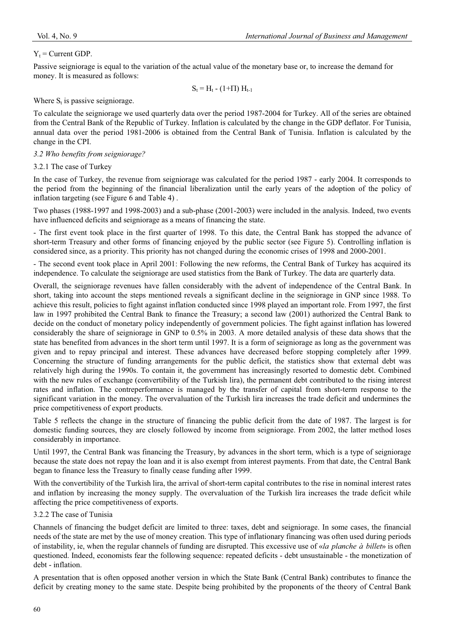# $Y_t$  = Current GDP.

Passive seigniorage is equal to the variation of the actual value of the monetary base or, to increase the demand for money. It is measured as follows:

 $S_t = H_t - (1 + \Pi) H_{t-1}$ 

Where  $S_t$  is passive seigniorage.

To calculate the seigniorage we used quarterly data over the period 1987-2004 for Turkey. All of the series are obtained from the Central Bank of the Republic of Turkey. Inflation is calculated by the change in the GDP deflator. For Tunisia, annual data over the period 1981-2006 is obtained from the Central Bank of Tunisia. Inflation is calculated by the change in the CPI.

# *3.2 Who benefits from seigniorage?*

# 3.2.1 The case of Turkey

In the case of Turkey, the revenue from seigniorage was calculated for the period 1987 - early 2004. It corresponds to the period from the beginning of the financial liberalization until the early years of the adoption of the policy of inflation targeting (see Figure 6 and Table 4) .

Two phases (1988-1997 and 1998-2003) and a sub-phase (2001-2003) were included in the analysis. Indeed, two events have influenced deficits and seigniorage as a means of financing the state.

- The first event took place in the first quarter of 1998. To this date, the Central Bank has stopped the advance of short-term Treasury and other forms of financing enjoyed by the public sector (see Figure 5). Controlling inflation is considered since, as a priority. This priority has not changed during the economic crises of 1998 and 2000-2001.

- The second event took place in April 2001: Following the new reforms, the Central Bank of Turkey has acquired its independence. To calculate the seigniorage are used statistics from the Bank of Turkey. The data are quarterly data.

Overall, the seigniorage revenues have fallen considerably with the advent of independence of the Central Bank. In short, taking into account the steps mentioned reveals a significant decline in the seigniorage in GNP since 1988. To achieve this result, policies to fight against inflation conducted since 1998 played an important role. From 1997, the first law in 1997 prohibited the Central Bank to finance the Treasury; a second law (2001) authorized the Central Bank to decide on the conduct of monetary policy independently of government policies. The fight against inflation has lowered considerably the share of seigniorage in GNP to 0.5% in 2003. A more detailed analysis of these data shows that the state has benefited from advances in the short term until 1997. It is a form of seigniorage as long as the government was given and to repay principal and interest. These advances have decreased before stopping completely after 1999. Concerning the structure of funding arrangements for the public deficit, the statistics show that external debt was relatively high during the 1990s. To contain it, the government has increasingly resorted to domestic debt. Combined with the new rules of exchange (convertibility of the Turkish lira), the permanent debt contributed to the rising interest rates and inflation. The contreperformance is managed by the transfer of capital from short-term response to the significant variation in the money. The overvaluation of the Turkish lira increases the trade deficit and undermines the price competitiveness of export products.

Table 5 reflects the change in the structure of financing the public deficit from the date of 1987. The largest is for domestic funding sources, they are closely followed by income from seigniorage. From 2002, the latter method loses considerably in importance.

Until 1997, the Central Bank was financing the Treasury, by advances in the short term, which is a type of seigniorage because the state does not repay the loan and it is also exempt from interest payments. From that date, the Central Bank began to finance less the Treasury to finally cease funding after 1999.

With the convertibility of the Turkish lira, the arrival of short-term capital contributes to the rise in nominal interest rates and inflation by increasing the money supply. The overvaluation of the Turkish lira increases the trade deficit while affecting the price competitiveness of exports.

## 3.2.2 The case of Tunisia

Channels of financing the budget deficit are limited to three: taxes, debt and seigniorage. In some cases, the financial needs of the state are met by the use of money creation. This type of inflationary financing was often used during periods of instability, ie, when the regular channels of funding are disrupted. This excessive use of «*la planche à billet*» is often questioned. Indeed, economists fear the following sequence: repeated deficits - debt unsustainable - the monetization of debt - inflation.

A presentation that is often opposed another version in which the State Bank (Central Bank) contributes to finance the deficit by creating money to the same state. Despite being prohibited by the proponents of the theory of Central Bank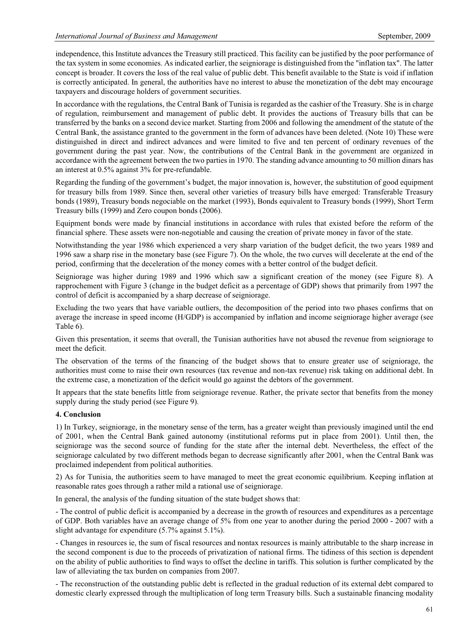independence, this Institute advances the Treasury still practiced. This facility can be justified by the poor performance of the tax system in some economies. As indicated earlier, the seigniorage is distinguished from the "inflation tax". The latter concept is broader. It covers the loss of the real value of public debt. This benefit available to the State is void if inflation is correctly anticipated. In general, the authorities have no interest to abuse the monetization of the debt may encourage taxpayers and discourage holders of government securities.

In accordance with the regulations, the Central Bank of Tunisia is regarded as the cashier of the Treasury. She is in charge of regulation, reimbursement and management of public debt. It provides the auctions of Treasury bills that can be transferred by the banks on a second device market. Starting from 2006 and following the amendment of the statute of the Central Bank, the assistance granted to the government in the form of advances have been deleted. (Note 10) These were distinguished in direct and indirect advances and were limited to five and ten percent of ordinary revenues of the government during the past year. Now, the contributions of the Central Bank in the government are organized in accordance with the agreement between the two parties in 1970. The standing advance amounting to 50 million dinars has an interest at 0.5% against 3% for pre-refundable.

Regarding the funding of the government's budget, the major innovation is, however, the substitution of good equipment for treasury bills from 1989. Since then, several other varieties of treasury bills have emerged: Transferable Treasury bonds (1989), Treasury bonds negociable on the market (1993), Bonds equivalent to Treasury bonds (1999), Short Term Treasury bills (1999) and Zero coupon bonds (2006).

Equipment bonds were made by financial institutions in accordance with rules that existed before the reform of the financial sphere. These assets were non-negotiable and causing the creation of private money in favor of the state.

Notwithstanding the year 1986 which experienced a very sharp variation of the budget deficit, the two years 1989 and 1996 saw a sharp rise in the monetary base (see Figure 7). On the whole, the two curves will decelerate at the end of the period, confirming that the deceleration of the money comes with a better control of the budget deficit.

Seigniorage was higher during 1989 and 1996 which saw a significant creation of the money (see Figure 8). A rapprochement with Figure 3 (change in the budget deficit as a percentage of GDP) shows that primarily from 1997 the control of deficit is accompanied by a sharp decrease of seigniorage.

Excluding the two years that have variable outliers, the decomposition of the period into two phases confirms that on average the increase in speed income (H/GDP) is accompanied by inflation and income seigniorage higher average (see Table 6).

Given this presentation, it seems that overall, the Tunisian authorities have not abused the revenue from seigniorage to meet the deficit.

The observation of the terms of the financing of the budget shows that to ensure greater use of seigniorage, the authorities must come to raise their own resources (tax revenue and non-tax revenue) risk taking on additional debt. In the extreme case, a monetization of the deficit would go against the debtors of the government.

It appears that the state benefits little from seigniorage revenue. Rather, the private sector that benefits from the money supply during the study period (see Figure 9).

## **4. Conclusion**

1) In Turkey, seigniorage, in the monetary sense of the term, has a greater weight than previously imagined until the end of 2001, when the Central Bank gained autonomy (institutional reforms put in place from 2001). Until then, the seigniorage was the second source of funding for the state after the internal debt. Nevertheless, the effect of the seigniorage calculated by two different methods began to decrease significantly after 2001, when the Central Bank was proclaimed independent from political authorities.

2) As for Tunisia, the authorities seem to have managed to meet the great economic equilibrium. Keeping inflation at reasonable rates goes through a rather mild a rational use of seigniorage.

In general, the analysis of the funding situation of the state budget shows that:

- The control of public deficit is accompanied by a decrease in the growth of resources and expenditures as a percentage of GDP. Both variables have an average change of 5% from one year to another during the period 2000 - 2007 with a slight advantage for expenditure (5.7% against 5.1%).

- Changes in resources ie, the sum of fiscal resources and nontax resources is mainly attributable to the sharp increase in the second component is due to the proceeds of privatization of national firms. The tidiness of this section is dependent on the ability of public authorities to find ways to offset the decline in tariffs. This solution is further complicated by the law of alleviating the tax burden on companies from 2007.

- The reconstruction of the outstanding public debt is reflected in the gradual reduction of its external debt compared to domestic clearly expressed through the multiplication of long term Treasury bills. Such a sustainable financing modality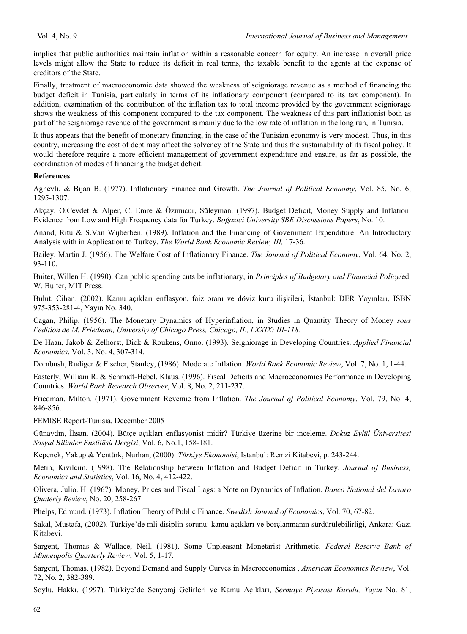implies that public authorities maintain inflation within a reasonable concern for equity. An increase in overall price levels might allow the State to reduce its deficit in real terms, the taxable benefit to the agents at the expense of creditors of the State.

Finally, treatment of macroeconomic data showed the weakness of seigniorage revenue as a method of financing the budget deficit in Tunisia, particularly in terms of its inflationary component (compared to its tax component). In addition, examination of the contribution of the inflation tax to total income provided by the government seigniorage shows the weakness of this component compared to the tax component. The weakness of this part inflationist both as part of the seigniorage revenue of the government is mainly due to the low rate of inflation in the long run, in Tunisia.

It thus appears that the benefit of monetary financing, in the case of the Tunisian economy is very modest. Thus, in this country, increasing the cost of debt may affect the solvency of the State and thus the sustainability of its fiscal policy. It would therefore require a more efficient management of government expenditure and ensure, as far as possible, the coordination of modes of financing the budget deficit.

## **References**

Aghevli, & Bijan B. (1977). Inflationary Finance and Growth. *The Journal of Political Economy*, Vol. 85, No. 6, 1295-1307.

Akçay, O.Cevdet & Alper, C. Emre & Özmucur, Süleyman. (1997). Budget Deficit, Money Supply and Inflation: Evidence from Low and High Frequency data for Turkey. *Bo÷aziçi University SBE Discussions Papers*, No. 10.

Anand, Ritu & S.Van Wijberben. (1989). Inflation and the Financing of Government Expenditure: An Introductory Analysis with in Application to Turkey. *The World Bank Economic Review, III,* 17-36*.*

Bailey, Martin J. (1956). The Welfare Cost of Inflationary Finance. *The Journal of Political Economy*, Vol. 64, No. 2, 93-110.

Buiter, Willen H. (1990). Can public spending cuts be inflationary, in *Principles of Budgetary and Financial Policy*/ed. W. Buiter, MIT Press.

Bulut, Cihan. (2002). Kamu açıkları enflasyon, faiz oranı ve döviz kuru ilişkileri, İstanbul: DER Yayınları, ISBN 975-353-281-4, Yayın No. 340.

Cagan, Philip. (1956). The Monetary Dynamics of Hyperinflation, in Studies in Quantity Theory of Money *sous l'édition de M. Friedman, University of Chicago Press, Chicago, IL, LXXIX: III-118.*

De Haan, Jakob & Zelhorst, Dick & Roukens, Onno. (1993). Seigniorage in Developing Countries. *Applied Financial Economics*, Vol. 3, No. 4, 307-314.

Dornbush, Rudiger & Fischer, Stanley, (1986). Moderate Inflation. *World Bank Economic Review*, Vol. 7, No. 1, 1-44.

Easterly, William R. & Schmidt-Hebel, Klaus. (1996). Fiscal Deficits and Macroeconomics Performance in Developing Countries. *World Bank Research Observer*, Vol. 8, No. 2, 211-237.

Friedman, Milton. (1971). Government Revenue from Inflation. *The Journal of Political Economy*, Vol. 79, No. 4, 846-856.

FEMISE Report-Tunisia, December 2005

Günaydın, İhsan. (2004). Bütçe açıkları enflasyonist midir? Türkiye üzerine bir inceleme. *Dokuz Eylül Üniversitesi Sosyal Bilimler Enstitüsü Dergisi*, Vol. 6, No.1, 158-181.

Kepenek, Yakup & Yentürk, Nurhan, (2000). *Türkiye Ekonomisi*, Istanbul: Remzi Kitabevi, p. 243-244.

Metin, Kivilcim. (1998). The Relationship between Inflation and Budget Deficit in Turkey. *Journal of Business, Economics and Statistics*, Vol. 16, No. 4, 412-422.

Olivera, Julio. H. (1967). Money, Prices and Fiscal Lags: a Note on Dynamics of Inflation. *Banco National del Lavaro Quaterly Review*, No. 20, 258-267.

Phelps, Edmund. (1973). Inflation Theory of Public Finance. *Swedish Journal of Economics*, Vol. 70, 67-82.

Sakal, Mustafa, (2002). Türkiye'de mli disiplin sorunu: kamu açıkları ve borçlanmanın sürdürülebilirliği, Ankara: Gazi Kitabevi.

Sargent, Thomas & Wallace, Neil. (1981). Some Unpleasant Monetarist Arithmetic. *Federal Reserve Bank of Minneapolis Quarterly Review*, Vol. 5, 1-17.

Sargent, Thomas. (1982). Beyond Demand and Supply Curves in Macroeconomics , *American Economics Review*, Vol. 72, No. 2, 382-389.

Soylu, Hakkı. (1997). Türkiye'de Senyoraj Gelirleri ve Kamu Açıkları, *Sermaye Piyasası Kurulu, Yayın* No. 81,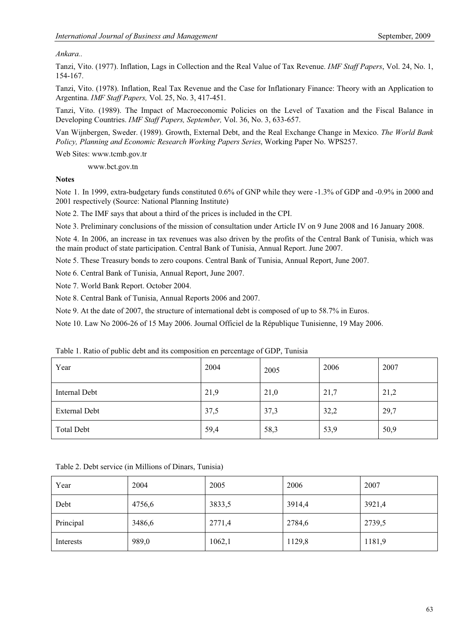# *Ankara..*

Tanzi, Vito. (1977). Inflation, Lags in Collection and the Real Value of Tax Revenue. *IMF Staff Papers*, Vol. 24, No. 1, 154-167.

Tanzi, Vito. (1978). Inflation, Real Tax Revenue and the Case for Inflationary Finance: Theory with an Application to Argentina. *IMF Staff Papers,* Vol. 25, No. 3, 417-451.

Tanzi, Vito. (1989). The Impact of Macroeconomic Policies on the Level of Taxation and the Fiscal Balance in Developing Countries. *IMF Staff Papers, September,* Vol. 36, No. 3, 633-657.

Van Wijnbergen, Sweder. (1989). Growth, External Debt, and the Real Exchange Change in Mexico. *The World Bank Policy, Planning and Economic Research Working Papers Series*, Working Paper No. WPS257.

Web Sites: www.tcmb.gov.tr

www.bct.gov.tn

**Notes**

Note 1. In 1999, extra-budgetary funds constituted 0.6% of GNP while they were -1.3% of GDP and -0.9% in 2000 and 2001 respectively (Source: National Planning Institute)

Note 2. The IMF says that about a third of the prices is included in the CPI.

Note 3. Preliminary conclusions of the mission of consultation under Article IV on 9 June 2008 and 16 January 2008.

Note 4. In 2006, an increase in tax revenues was also driven by the profits of the Central Bank of Tunisia, which was the main product of state participation. Central Bank of Tunisia, Annual Report. June 2007.

Note 5. These Treasury bonds to zero coupons. Central Bank of Tunisia, Annual Report, June 2007.

Note 6. Central Bank of Tunisia, Annual Report, June 2007.

Note 7. World Bank Report. October 2004.

Note 8. Central Bank of Tunisia, Annual Reports 2006 and 2007.

Note 9. At the date of 2007, the structure of international debt is composed of up to 58.7% in Euros.

Note 10. Law No 2006-26 of 15 May 2006. Journal Officiel de la République Tunisienne, 19 May 2006.

| Year                 | 2004 | 2005 | 2006 | 2007 |
|----------------------|------|------|------|------|
| <b>Internal Debt</b> | 21,9 | 21,0 | 21,7 | 21,2 |
| <b>External Debt</b> | 37,5 | 37,3 | 32,2 | 29,7 |
| <b>Total Debt</b>    | 59,4 | 58,3 | 53,9 | 50,9 |

Table 1. Ratio of public debt and its composition en percentage of GDP, Tunisia

| Table 2. Debt service (in Millions of Dinars, Tunisia) |  |  |
|--------------------------------------------------------|--|--|
|--------------------------------------------------------|--|--|

| Year      | 2004   | 2005   | 2006   | 2007   |
|-----------|--------|--------|--------|--------|
| Debt      | 4756,6 | 3833,5 | 3914,4 | 3921,4 |
| Principal | 3486,6 | 2771,4 | 2784,6 | 2739,5 |
| Interests | 989,0  | 1062,1 | 1129,8 | 1181,9 |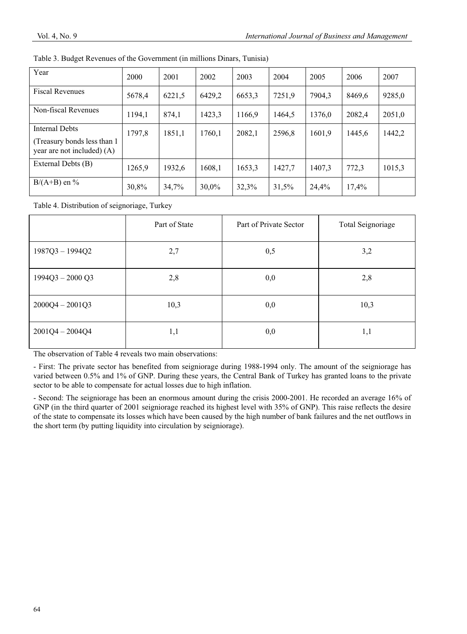| Year                                                                                | 2000   | 2001   | 2002   | 2003   | 2004   | 2005   | 2006   | 2007   |
|-------------------------------------------------------------------------------------|--------|--------|--------|--------|--------|--------|--------|--------|
| <b>Fiscal Revenues</b>                                                              | 5678,4 | 6221,5 | 6429,2 | 6653,3 | 7251,9 | 7904,3 | 8469.6 | 9285,0 |
| Non-fiscal Revenues                                                                 | 1194.1 | 874,1  | 1423.3 | 1166.9 | 1464.5 | 1376.0 | 2082,4 | 2051,0 |
| <b>Internal Debts</b><br>(Treasury bonds less than 1)<br>year are not included) (A) | 1797,8 | 1851,1 | 1760.1 | 2082,1 | 2596,8 | 1601.9 | 1445.6 | 1442,2 |
| External Debts (B)                                                                  | 1265,9 | 1932,6 | 1608,1 | 1653,3 | 1427,7 | 1407.3 | 772,3  | 1015,3 |
| $B/(A+B)$ en %                                                                      | 30,8%  | 34,7%  | 30,0%  | 32,3%  | 31,5%  | 24,4%  | 17,4%  |        |

Table 3. Budget Revenues of the Government (in millions Dinars, Tunisia)

Table 4. Distribution of seignoriage, Turkey

|                   | Part of State | Part of Private Sector | Total Seignoriage |
|-------------------|---------------|------------------------|-------------------|
| $1987Q3 - 1994Q2$ | 2,7           | 0,5                    | 3,2               |
| $1994Q3 - 2000Q3$ | 2,8           | 0,0                    | 2,8               |
| $2000Q4 - 2001Q3$ | 10,3          | 0,0                    | 10,3              |
| $2001Q4 - 2004Q4$ | 1,1           | 0,0                    | 1,1               |

The observation of Table 4 reveals two main observations:

- First: The private sector has benefited from seigniorage during 1988-1994 only. The amount of the seigniorage has varied between 0.5% and 1% of GNP. During these years, the Central Bank of Turkey has granted loans to the private sector to be able to compensate for actual losses due to high inflation.

- Second: The seigniorage has been an enormous amount during the crisis 2000-2001. He recorded an average 16% of GNP (in the third quarter of 2001 seigniorage reached its highest level with 35% of GNP). This raise reflects the desire of the state to compensate its losses which have been caused by the high number of bank failures and the net outflows in the short term (by putting liquidity into circulation by seigniorage).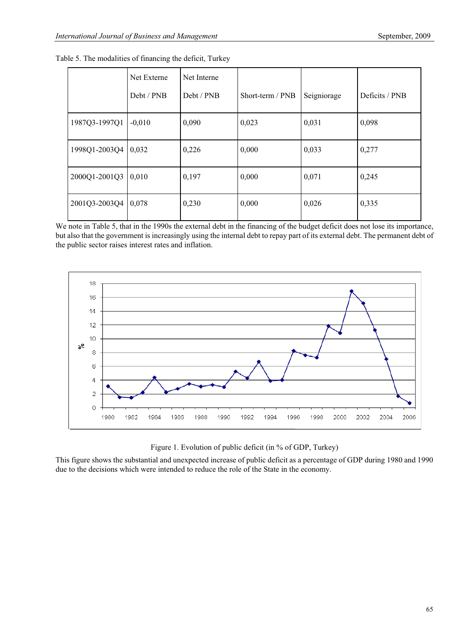|                     | Net Externe | Net Interne |                  |             |                |
|---------------------|-------------|-------------|------------------|-------------|----------------|
|                     | Debt / PNB  | Debt / PNB  | Short-term / PNB | Seigniorage | Deficits / PNB |
| 1987Q3-1997Q1       | $-0,010$    | 0,090       | 0,023            | 0,031       | 0,098          |
| 1998Q1-2003Q4       | 0,032       | 0,226       | 0,000            | 0,033       | 0,277          |
| 2000Q1-2001Q3       | 0,010       | 0,197       | 0,000            | 0,071       | 0,245          |
| 2001Q3-2003Q4 0,078 |             | 0,230       | 0,000            | 0,026       | 0,335          |

|  | Table 5. The modalities of financing the deficit, Turkey |  |  |  |
|--|----------------------------------------------------------|--|--|--|
|  |                                                          |  |  |  |

We note in Table 5, that in the 1990s the external debt in the financing of the budget deficit does not lose its importance, but also that the government is increasingly using the internal debt to repay part of its external debt. The permanent debt of the public sector raises interest rates and inflation.



Figure 1. Evolution of public deficit (in % of GDP, Turkey)

This figure shows the substantial and unexpected increase of public deficit as a percentage of GDP during 1980 and 1990 due to the decisions which were intended to reduce the role of the State in the economy.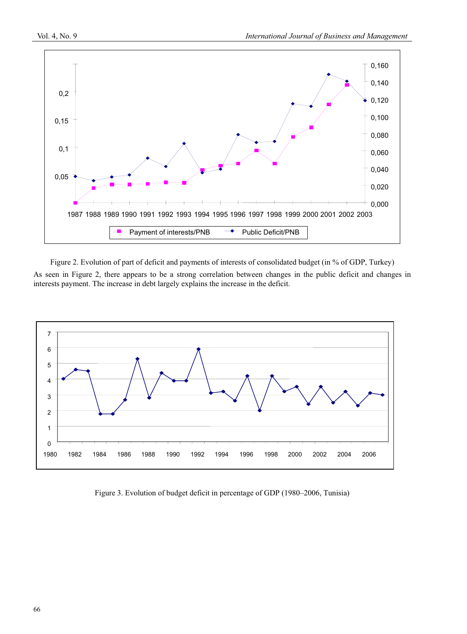

Figure 2. Evolution of part of deficit and payments of interests of consolidated budget (in % of GDP, Turkey) As seen in Figure 2, there appears to be a strong correlation between changes in the public deficit and changes in interests payment. The increase in debt largely explains the increase in the deficit.



Figure 3. Evolution of budget deficit in percentage of GDP (1980–2006, Tunisia)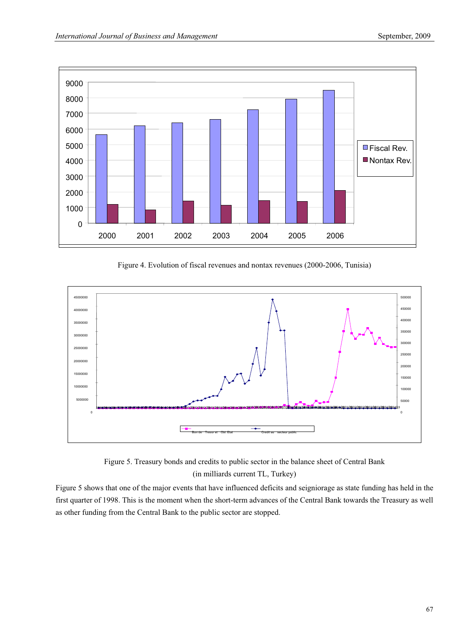

Figure 4. Evolution of fiscal revenues and nontax revenues (2000-2006, Tunisia)





Figure 5 shows that one of the major events that have influenced deficits and seigniorage as state funding has held in the first quarter of 1998. This is the moment when the short-term advances of the Central Bank towards the Treasury as well as other funding from the Central Bank to the public sector are stopped.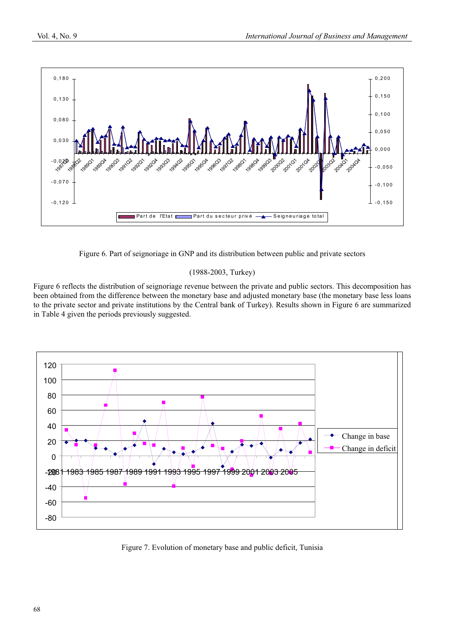

Figure 6. Part of seignoriage in GNP and its distribution between public and private sectors

## (1988-2003, Turkey)

Figure 6 reflects the distribution of seignoriage revenue between the private and public sectors. This decomposition has been obtained from the difference between the monetary base and adjusted monetary base (the monetary base less loans to the private sector and private institutions by the Central bank of Turkey). Results shown in Figure 6 are summarized in Table 4 given the periods previously suggested.



Figure 7. Evolution of monetary base and public deficit, Tunisia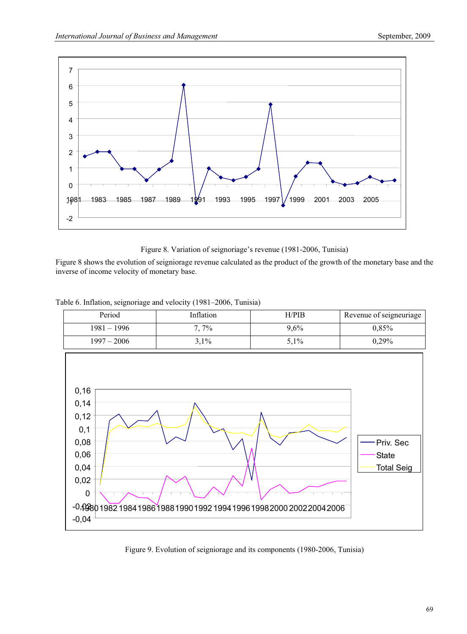

Figure 8. Variation of seignoriage's revenue (1981-2006, Tunisia)

Figure 8 shows the evolution of seigniorage revenue calculated as the product of the growth of the monetary base and the inverse of income velocity of monetary base.

Table 6. Inflation, seignoriage and velocity (1981–2006, Tunisia)



Figure 9. Evolution of seigniorage and its components (1980-2006, Tunisia)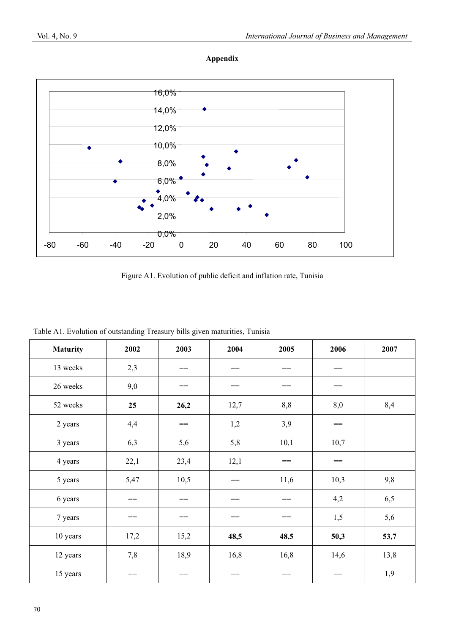



Figure A1. Evolution of public deficit and inflation rate, Tunisia

| Table A1. Evolution of outstanding Treasury bills given maturities, Tunisia |  |  |
|-----------------------------------------------------------------------------|--|--|
|-----------------------------------------------------------------------------|--|--|

| <b>Maturity</b> | 2002 | 2003 | 2004 | 2005 | 2006 | 2007 |
|-----------------|------|------|------|------|------|------|
| 13 weeks        | 2,3  | $==$ | $==$ | $==$ | $==$ |      |
| 26 weeks        | 9,0  | $==$ | $==$ | $==$ | $==$ |      |
| 52 weeks        | 25   | 26,2 | 12,7 | 8,8  | 8,0  | 8,4  |
| 2 years         | 4,4  | $==$ | 1,2  | 3,9  | $==$ |      |
| 3 years         | 6,3  | 5,6  | 5,8  | 10,1 | 10,7 |      |
| 4 years         | 22,1 | 23,4 | 12,1 | $==$ | $==$ |      |
| 5 years         | 5,47 | 10,5 | $==$ | 11,6 | 10,3 | 9,8  |
| 6 years         | $==$ | $==$ | $==$ | $==$ | 4,2  | 6,5  |
| 7 years         | $==$ | $==$ | $==$ | $==$ | 1,5  | 5,6  |
| 10 years        | 17,2 | 15,2 | 48,5 | 48,5 | 50,3 | 53,7 |
| 12 years        | 7,8  | 18,9 | 16,8 | 16,8 | 14,6 | 13,8 |
| 15 years        | $==$ | $==$ | $==$ | $==$ | $==$ | 1,9  |